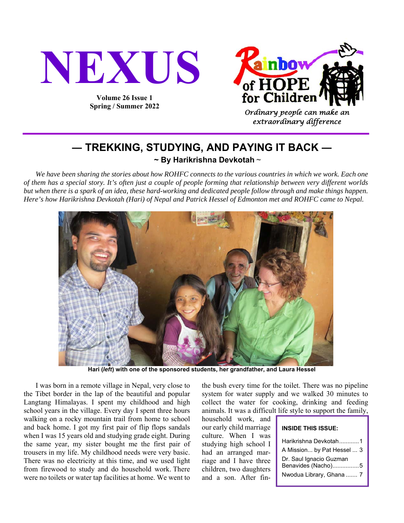

**Volume 26 Issue 1 Spring / Summer 2022** 



Ordinary people can make an extraordinary difference

# **― TREKKING, STUDYING, AND PAYING IT BACK ― ~ By Harikrishna Devkotah ~**

We have been sharing the stories about how ROHFC connects to the various countries in which we work. Each one *of them has a special story. It's often just a couple of people forming that relationship between very different worlds but when there is a spark of an idea, these hard-working and dedicated people follow through and make things happen. Here's how Harikrishna Devkotah (Hari) of Nepal and Patrick Hessel of Edmonton met and ROHFC came to Nepal.* 



**Hari (***left***) with one of the sponsored students, her grandfather, and Laura Hessel** 

I was born in a remote village in Nepal, very close to the Tibet border in the lap of the beautiful and popular Langtang Himalayas. I spent my childhood and high school years in the village. Every day I spent three hours walking on a rocky mountain trail from home to school and back home. I got my first pair of flip flops sandals when I was 15 years old and studying grade eight. During the same year, my sister bought me the first pair of trousers in my life. My childhood needs were very basic. There was no electricity at this time, and we used light from firewood to study and do household work. There were no toilets or water tap facilities at home. We went to the bush every time for the toilet. There was no pipeline system for water supply and we walked 30 minutes to collect the water for cooking, drinking and feeding animals. It was a difficult life style to support the family,

household work, and our early child marriage culture. When I was studying high school I had an arranged marriage and I have three children, two daughters and a son. After fin-

## **INSIDE THIS ISSUE:**

| Harikrishna Devkotah1                         |  |
|-----------------------------------------------|--|
| A Mission by Pat Hessel  3                    |  |
| Dr. Saul Ignacio Guzman<br>Benavides (Nacho)5 |  |
| Nwodua Library, Ghana  7                      |  |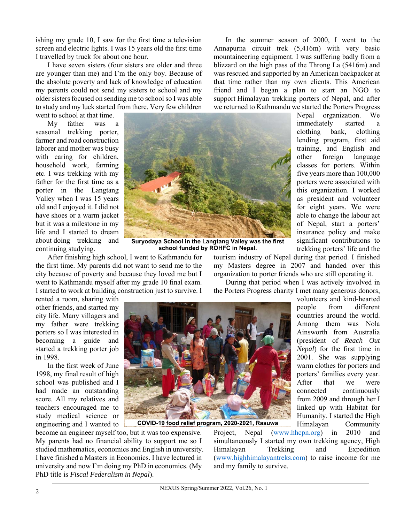ishing my grade 10, I saw for the first time a television screen and electric lights. I was 15 years old the first time I travelled by truck for about one hour.

I have seven sisters (four sisters are older and three are younger than me) and I'm the only boy. Because of the absolute poverty and lack of knowledge of education my parents could not send my sisters to school and my older sisters focused on sending me to school so I was able to study and my luck started from there. Very few children

went to school at that time.

My father was a seasonal trekking porter, farmer and road construction laborer and mother was busy with caring for children, household work, farming etc. I was trekking with my father for the first time as a porter in the Langtang Valley when I was 15 years old and I enjoyed it. I did not have shoes or a warm jacket but it was a milestone in my life and I started to dream about doing trekking and continuing studying.

After finishing high school, I went to Kathmandu for the first time. My parents did not want to send me to the city because of poverty and because they loved me but I went to Kathmandu myself after my grade 10 final exam. I started to work at building construction just to survive. I

In the summer season of 2000, I went to the Annapurna circuit trek (5,416m) with very basic mountaineering equipment. I was suffering badly from a blizzard on the high pass of the Throng La (5416m) and was rescued and supported by an American backpacker at that time rather than my own clients. This American friend and I began a plan to start an NGO to support Himalayan trekking porters of Nepal, and after we returned to Kathmandu we started the Porters Progress

Nepal organization. We immediately started a clothing bank, clothing lending program, first aid training, and English and other foreign language classes for porters. Within five years more than 100,000 porters were associated with this organization. I worked as president and volunteer for eight years. We were able to change the labour act of Nepal, start a porters' insurance policy and make significant contributions to trekking porters' life and the

people from different countries around the world. Among them was Nola Ainsworth from Australia (president of *Reach Out Nepal*) for the first time in 2001. She was supplying warm clothes for porters and porters' families every year. After that we were connected continuously from 2009 and through her I linked up with Habitat for Humanity. I started the High Himalayan Community



**Suryodaya School in the Langtang Valley was the first school funded by ROHFC in Nepal.** 

tourism industry of Nepal during that period. I finished my Masters degree in 2007 and handed over this organization to porter friends who are still operating it.

During that period when I was actively involved in the Porters Progress charity I met many generous donors, volunteers and kind-hearted

rented a room, sharing with other friends, and started my city life. Many villagers and my father were trekking porters so I was interested in becoming a guide and started a trekking porter job in 1998.

In the first week of June 1998, my final result of high school was published and I had made an outstanding score. All my relatives and teachers encouraged me to study medical science or engineering and I wanted to



**COVID-19 food relief program, 2020-2021, Rasuwa**

become an engineer myself too, but it was too expensive. My parents had no financial ability to support me so I studied mathematics, economics and English in university. I have finished a Masters in Economics. I have lectured in university and now I'm doing my PhD in economics. (My PhD title is *Fiscal Federalism in Nepal*).

Project, Nepal (www.hhcpn.org) in 2010 and simultaneously I started my own trekking agency, High Himalayan Trekking and Expedition (www.highhimalayantreks.com) to raise income for me and my family to survive.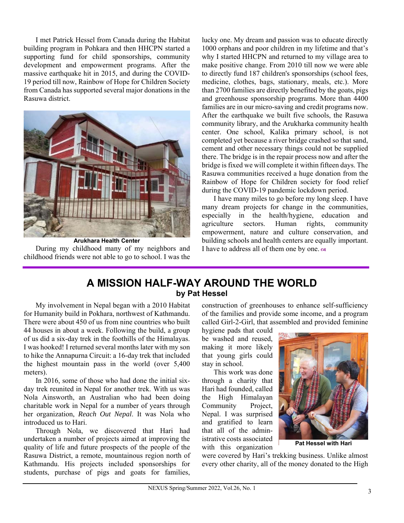I met Patrick Hessel from Canada during the Habitat building program in Pohkara and then HHCPN started a supporting fund for child sponsorships, community development and empowerment programs. After the massive earthquake hit in 2015, and during the COVID-19 period till now, Rainbow of Hope for Children Society from Canada has supported several major donations in the Rasuwa district.



During my childhood many of my neighbors and childhood friends were not able to go to school. I was the **Arukhara Health Center**

lucky one. My dream and passion was to educate directly 1000 orphans and poor children in my lifetime and that's why I started HHCPN and returned to my village area to make positive change. From 2010 till now we were able to directly fund 187 children's sponsorships (school fees, medicine, clothes, bags, stationary, meals, etc.). More than 2700 families are directly benefited by the goats, pigs and greenhouse sponsorship programs. More than 4400 families are in our micro-saving and credit programs now. After the earthquake we built five schools, the Rasuwa community library, and the Arukharka community health center. One school, Kalika primary school, is not completed yet because a river bridge crashed so that sand, cement and other necessary things could not be supplied there. The bridge is in the repair process now and after the bridge is fixed we will complete it within fifteen days. The Rasuwa communities received a huge donation from the Rainbow of Hope for Children society for food relief during the COVID-19 pandemic lockdown period.

I have many miles to go before my long sleep. I have many dream projects for change in the communities, especially in the health/hygiene, education and agriculture sectors. Human rights, community empowerment, nature and culture conservation, and building schools and health centers are equally important. I have to address all of them one by one.  $\infty$ 

## **A MISSION HALF-WAY AROUND THE WORLD by Pat Hessel**

My involvement in Nepal began with a 2010 Habitat for Humanity build in Pokhara, northwest of Kathmandu. There were about 450 of us from nine countries who built 44 houses in about a week. Following the build, a group of us did a six-day trek in the foothills of the Himalayas. I was hooked! I returned several months later with my son to hike the Annapurna Circuit: a 16-day trek that included the highest mountain pass in the world (over 5,400 meters).

In 2016, some of those who had done the initial sixday trek reunited in Nepal for another trek. With us was Nola Ainsworth, an Australian who had been doing charitable work in Nepal for a number of years through her organization, *Reach Out Nepal*. It was Nola who introduced us to Hari.

Through Nola, we discovered that Hari had undertaken a number of projects aimed at improving the quality of life and future prospects of the people of the Rasuwa District, a remote, mountainous region north of Kathmandu. His projects included sponsorships for students, purchase of pigs and goats for families, construction of greenhouses to enhance self-sufficiency of the families and provide some income, and a program called Girl-2-Girl, that assembled and provided feminine

hygiene pads that could be washed and reused, making it more likely that young girls could stay in school.

This work was done through a charity that Hari had founded, called the High Himalayan Community Project, Nepal. I was surprised and gratified to learn that all of the administrative costs associated with this organization



**Pat Hessel with Hari**

were covered by Hari's trekking business. Unlike almost every other charity, all of the money donated to the High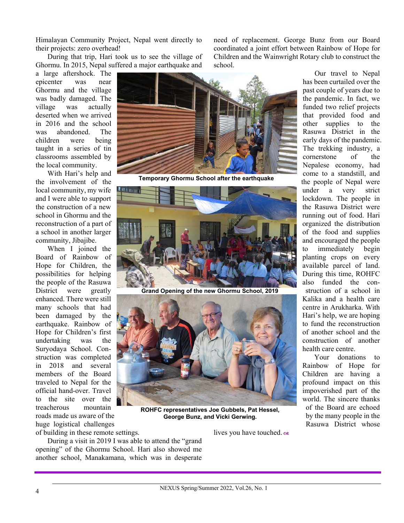Himalayan Community Project, Nepal went directly to their projects: zero overhead!

During that trip, Hari took us to see the village of Ghormu. In 2015, Nepal suffered a major earthquake and

a large aftershock. The epicenter was near Ghormu and the village was badly damaged. The village was actually deserted when we arrived in 2016 and the school was abandoned. The children were being taught in a series of tin classrooms assembled by the local community.

With Hari's help and the involvement of the local community, my wife and I were able to support the construction of a new school in Ghormu and the reconstruction of a part of a school in another larger community, Jibajibe.

When I joined the Board of Rainbow of Hope for Children, the possibilities for helping the people of the Rasuwa District were greatly enhanced. There were still many schools that had been damaged by the earthquake. Rainbow of Hope for Children's first undertaking was the Suryodaya School. Construction was completed in 2018 and several members of the Board traveled to Nepal for the official hand-over. Travel to the site over the treacherous mountain roads made us aware of the huge logistical challenges

of building in these remote settings.

During a visit in 2019 I was able to attend the "grand opening" of the Ghormu School. Hari also showed me another school, Manakamana, which was in desperate need of replacement. George Bunz from our Board coordinated a joint effort between Rainbow of Hope for Children and the Wainwright Rotary club to construct the school.



**Temporary Ghormu School after the earthquake**



**Grand Opening of the new Ghormu School, 2019**



**ROHFC representatives Joe Gubbels, Pat Hessel, George Bunz, and Vicki Gerwing.**

lives you have touched.  $\infty$ 

Our travel to Nepal has been curtailed over the past couple of years due to the pandemic. In fact, we funded two relief projects that provided food and other supplies to the Rasuwa District in the early days of the pandemic. The trekking industry, a cornerstone of the Nepalese economy, had come to a standstill, and the people of Nepal were under a very strict lockdown. The people in the Rasuwa District were running out of food. Hari organized the distribution of the food and supplies and encouraged the people to immediately begin planting crops on every available parcel of land. During this time, ROHFC also funded the construction of a school in Kalika and a health care centre in Arukharka. With Hari's help, we are hoping to fund the reconstruction of another school and the construction of another health care centre.

Your donations to Rainbow of Hope for Children are having a profound impact on this impoverished part of the world. The sincere thanks of the Board are echoed by the many people in the Rasuwa District whose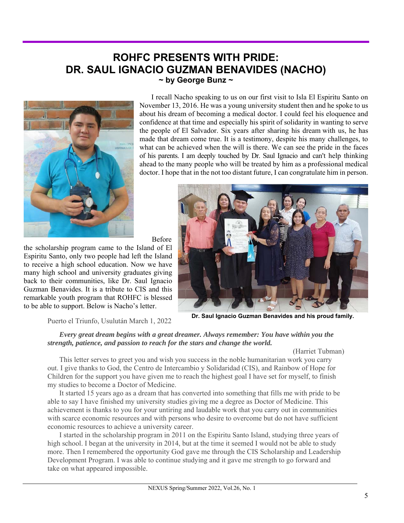# **ROHFC PRESENTS WITH PRIDE: DR. SAUL IGNACIO GUZMAN BENAVIDES (NACHO) ~ by George Bunz ~**



I recall Nacho speaking to us on our first visit to Isla El Espiritu Santo on November 13, 2016. He was a young university student then and he spoke to us about his dream of becoming a medical doctor. I could feel his eloquence and confidence at that time and especially his spirit of solidarity in wanting to serve the people of El Salvador. Six years after sharing his dream with us, he has made that dream come true. It is a testimony, despite his many challenges, to what can be achieved when the will is there. We can see the pride in the faces of his parents. I am deeply touched by Dr. Saul Ignacio and can't help thinking ahead to the many people who will be treated by him as a professional medical doctor. I hope that in the not too distant future, I can congratulate him in person.

Before

the scholarship program came to the Island of El Espiritu Santo, only two people had left the Island to receive a high school education. Now we have many high school and university graduates giving back to their communities, like Dr. Saul Ignacio Guzman Benavides. It is a tribute to CIS and this remarkable youth program that ROHFC is blessed to be able to support. Below is Nacho's letter.

Puerto el Triunfo, Usulután March 1, 2022



**Dr. Saul Ignacio Guzman Benavides and his proud family.**

*Every great dream begins with a great dreamer. Always remember: You have within you the strength, patience, and passion to reach for the stars and change the world.* 

(Harriet Tubman)

This letter serves to greet you and wish you success in the noble humanitarian work you carry out. I give thanks to God, the Centro de Intercambio y Solidaridad (CIS), and Rainbow of Hope for Children for the support you have given me to reach the highest goal I have set for myself, to finish my studies to become a Doctor of Medicine.

It started 15 years ago as a dream that has converted into something that fills me with pride to be able to say I have finished my university studies giving me a degree as Doctor of Medicine. This achievement is thanks to you for your untiring and laudable work that you carry out in communities with scarce economic resources and with persons who desire to overcome but do not have sufficient economic resources to achieve a university career.

I started in the scholarship program in 2011 on the Espiritu Santo Island, studying three years of high school. I began at the university in 2014, but at the time it seemed I would not be able to study more. Then I remembered the opportunity God gave me through the CIS Scholarship and Leadership Development Program. I was able to continue studying and it gave me strength to go forward and take on what appeared impossible.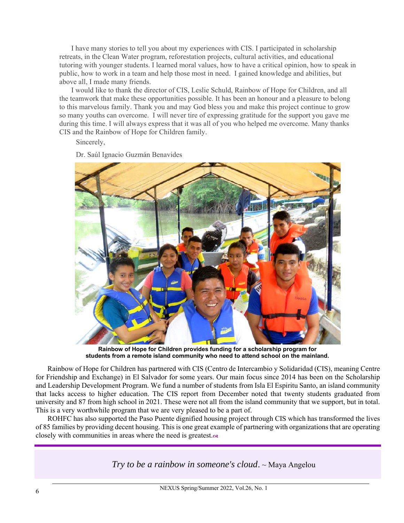I have many stories to tell you about my experiences with CIS. I participated in scholarship retreats, in the Clean Water program, reforestation projects, cultural activities, and educational tutoring with younger students. I learned moral values, how to have a critical opinion, how to speak in public, how to work in a team and help those most in need. I gained knowledge and abilities, but above all, I made many friends.

I would like to thank the director of CIS, Leslie Schuld, Rainbow of Hope for Children, and all the teamwork that make these opportunities possible. It has been an honour and a pleasure to belong to this marvelous family. Thank you and may God bless you and make this project continue to grow so many youths can overcome. I will never tire of expressing gratitude for the support you gave me during this time. I will always express that it was all of you who helped me overcome. Many thanks CIS and the Rainbow of Hope for Children family.

Sincerely,

Dr. Saúl Ignacio Guzmán Benavides



**Rainbow of Hope for Children provides funding for a scholarship program for students from a remote island community who need to attend school on the mainland.** 

Rainbow of Hope for Children has partnered with CIS (Centro de Intercambio y Solidaridad (CIS), meaning Centre for Friendship and Exchange) in El Salvador for some years. Our main focus since 2014 has been on the Scholarship and Leadership Development Program. We fund a number of students from Isla El Espiritu Santo, an island community that lacks access to higher education. The CIS report from December noted that twenty students graduated from university and 87 from high school in 2021. These were not all from the island community that we support, but in total. This is a very worthwhile program that we are very pleased to be a part of.

ROHFC has also supported the Paso Puente dignified housing project through CIS which has transformed the lives of 85 families by providing decent housing. This is one great example of partnering with organizations that are operating closely with communities in areas where the need is greatest.

*Try to be a rainbow in someone's cloud*. ~ Maya Angelou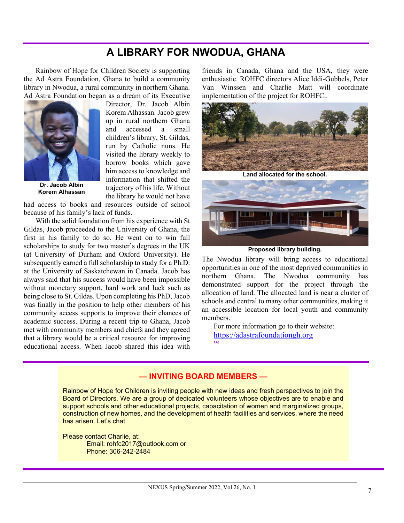# **A LIBRARY FOR NWODUA, GHANA**

Rainbow of Hope for Children Society is supporting the Ad Astra Foundation, Ghana to build a community library in Nwodua, a rural community in northern Ghana. Ad Astra Foundation began as a dream of its Executive



**Dr. Jacob Albin Korem Alhassan** Director, Dr. Jacob Albin Korem Alhassan. Jacob grew up in rural northern Ghana and accessed a small children's library, St. Gildas, run by Catholic nuns. He visited the library weekly to borrow books which gave him access to knowledge and information that shifted the trajectory of his life. Without the library he would not have

had access to books and resources outside of school because of his family's lack of funds.

With the solid foundation from his experience with St Gildas, Jacob proceeded to the University of Ghana, the first in his family to do so. He went on to win full scholarships to study for two master's degrees in the UK (at University of Durham and Oxford University). He subsequently earned a full scholarship to study for a Ph.D. at the University of Saskatchewan in Canada. Jacob has always said that his success would have been impossible without monetary support, hard work and luck such as being close to St. Gildas. Upon completing his PhD, Jacob was finally in the position to help other members of his community access supports to improve their chances of academic success. During a recent trip to Ghana, Jacob met with community members and chiefs and they agreed that a library would be a critical resource for improving educational access. When Jacob shared this idea with

friends in Canada, Ghana and the USA, they were enthusiastic. ROHFC directors Alice Iddi-Gubbels, Peter Van Winssen and Charlie Matt will coordinate implementation of the project for ROHFC..



**Land allocated for the school.**



**Proposed library building.**

The Nwodua library will bring access to educational opportunities in one of the most deprived communities in northern Ghana. The Nwodua community has demonstrated support for the project through the allocation of land. The allocated land is near a cluster of schools and central to many other communities, making it an accessible location for local youth and community members.

For more information go to their website: https://adastrafoundationgh.org œ

## **— INVITING BOARD MEMBERS —**

Rainbow of Hope for Children is inviting people with new ideas and fresh perspectives to join the Board of Directors. We are a group of dedicated volunteers whose objectives are to enable and support schools and other educational projects, capacitation of women and marginalized groups, construction of new homes, and the development of health facilities and services, where the need has arisen. Let's chat.

Please contact Charlie, at: Email: rohfc2017@outlook.com or Phone: 306-242-2484